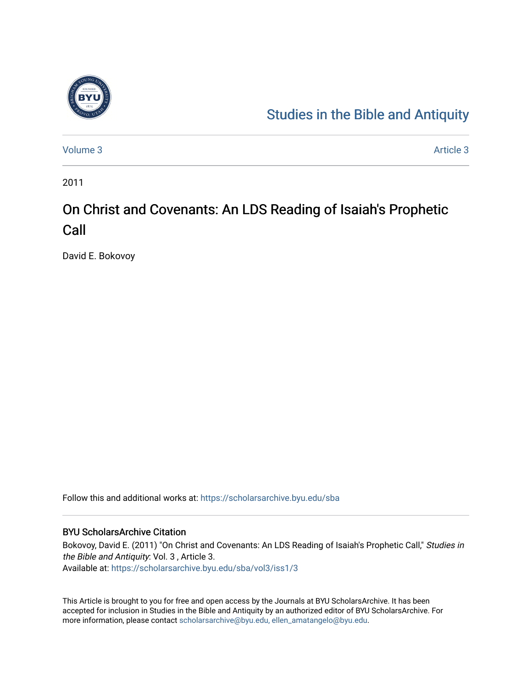

## [Studies in the Bible and Antiquity](https://scholarsarchive.byu.edu/sba)

[Volume 3](https://scholarsarchive.byu.edu/sba/vol3) Article 3

2011

# On Christ and Covenants: An LDS Reading of Isaiah's Prophetic Call

David E. Bokovoy

Follow this and additional works at: [https://scholarsarchive.byu.edu/sba](https://scholarsarchive.byu.edu/sba?utm_source=scholarsarchive.byu.edu%2Fsba%2Fvol3%2Fiss1%2F3&utm_medium=PDF&utm_campaign=PDFCoverPages)

### BYU ScholarsArchive Citation

Bokovoy, David E. (2011) "On Christ and Covenants: An LDS Reading of Isaiah's Prophetic Call," Studies in the Bible and Antiquity: Vol. 3 , Article 3. Available at: [https://scholarsarchive.byu.edu/sba/vol3/iss1/3](https://scholarsarchive.byu.edu/sba/vol3/iss1/3?utm_source=scholarsarchive.byu.edu%2Fsba%2Fvol3%2Fiss1%2F3&utm_medium=PDF&utm_campaign=PDFCoverPages)

This Article is brought to you for free and open access by the Journals at BYU ScholarsArchive. It has been accepted for inclusion in Studies in the Bible and Antiquity by an authorized editor of BYU ScholarsArchive. For more information, please contact [scholarsarchive@byu.edu, ellen\\_amatangelo@byu.edu.](mailto:scholarsarchive@byu.edu,%20ellen_amatangelo@byu.edu)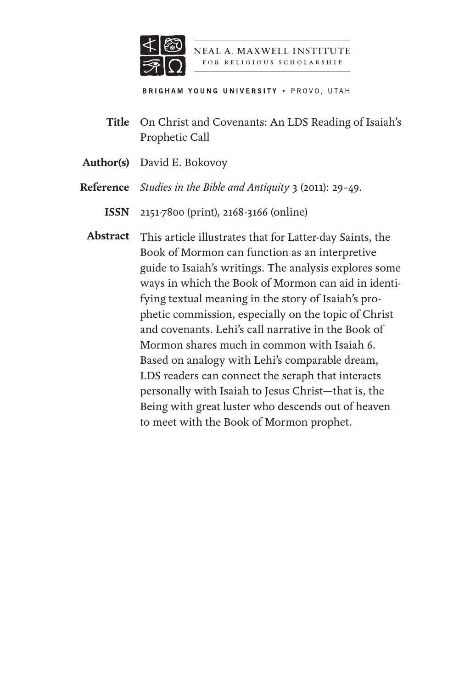

NEAL A. MAXWELL INSTITUTE FOR RELIGIOUS SCHOLARSHIP

**BRIGHAM YOUNG UNIVERSITY . PROVO, UTAH** 

- On Christ and Covenants: An LDS Reading of Isaiah's **Title** Prophetic Call
- Author(s) David E. Bokovoy
- *Studies in the Bible and Antiquity* 3 (2011): 29–49. **Reference**
	- 2151-7800 (print), 2168-3166 (online) **ISSN**
	- Abstract This article illustrates that for Latter-day Saints, the Book of Mormon can function as an interpretive guide to Isaiah's writings. The analysis explores some ways in which the Book of Mormon can aid in identifying textual meaning in the story of Isaiah's prophetic commission, especially on the topic of Christ and covenants. Lehi's call narrative in the Book of Mormon shares much in common with Isaiah 6. Based on analogy with Lehi's comparable dream, LDS readers can connect the seraph that interacts personally with Isaiah to Jesus Christ—that is, the Being with great luster who descends out of heaven to meet with the Book of Mormon prophet.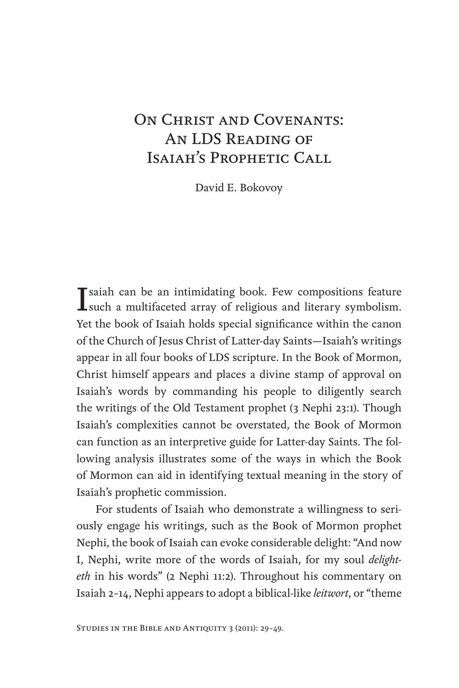### On Christ and Covenants: An LDS Reading of ISAIAH'S PROPHETIC CALL

David E. Bokovoy

I saiah can be an intimidating book. Few compositions feature<br>such a multifaceted array of religious and literary symbolism. **T** saiah can be an intimidating book. Few compositions feature Yet the book of Isaiah holds special significance within the canon of the Church of Jesus Christ of Latter-day Saints—Isaiah's writings appear in all four books of LDS scripture. In the Book of Mormon, Christ himself appears and places a divine stamp of approval on Isaiah's words by commanding his people to diligently search the writings of the Old Testament prophet (3 Nephi 23:1). Though Isaiah's complexities cannot be overstated, the Book of Mormon can function as an interpretive guide for Latter-day Saints. The following analysis illustrates some of the ways in which the Book of Mormon can aid in identifying textual meaning in the story of Isaiah's prophetic commission.

For students of Isaiah who demonstrate a willingness to seriously engage his writings, such as the Book of Mormon prophet Nephi, the book of Isaiah can evoke considerable delight: "And now I, Nephi, write more of the words of Isaiah, for my soul *delighteth* in his words" (2 Nephi 11:2). Throughout his commentary on Isaiah 2–14, Nephi appears to adopt a biblical-like *leitwort*, or "theme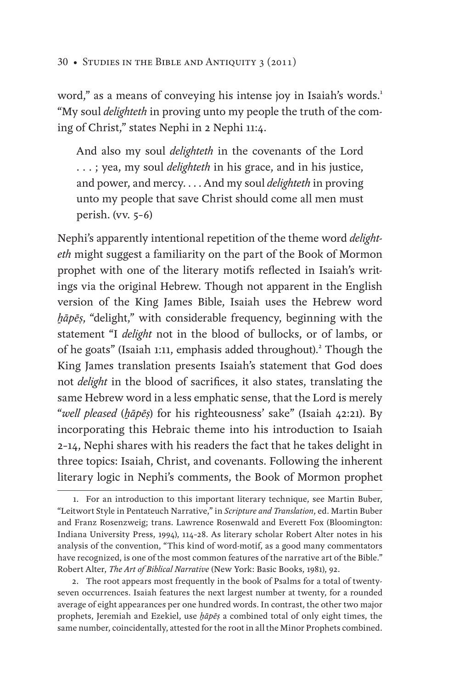word," as a means of conveying his intense joy in Isaiah's words.<sup>1</sup> "My soul *delighteth* in proving unto my people the truth of the coming of Christ," states Nephi in 2 Nephi 11:4.

And also my soul *delighteth* in the covenants of the Lord . . . ; yea, my soul *delighteth* in his grace, and in his justice, and power, and mercy. . . . And my soul *delighteth* in proving unto my people that save Christ should come all men must perish. (vv. 5–6)

Nephi's apparently intentional repetition of the theme word *delighteth* might suggest a familiarity on the part of the Book of Mormon prophet with one of the literary motifs reflected in Isaiah's writings via the original Hebrew. Though not apparent in the English version of the King James Bible, Isaiah uses the Hebrew word *ẖāpēṣ*, "delight," with considerable frequency, beginning with the statement "I *delight* not in the blood of bullocks, or of lambs, or of he goats" (Isaiah 1:11, emphasis added throughout).<sup>2</sup> Though the King James translation presents Isaiah's statement that God does not *delight* in the blood of sacrifices, it also states, translating the same Hebrew word in a less emphatic sense, that the Lord is merely "*well pleased* (*ẖāpēṣ*) for his righteousness' sake" (Isaiah 42:21). By incorporating this Hebraic theme into his introduction to Isaiah 2–14, Nephi shares with his readers the fact that he takes delight in three topics: Isaiah, Christ, and covenants. Following the inherent literary logic in Nephi's comments, the Book of Mormon prophet

2. The root appears most frequently in the book of Psalms for a total of twentyseven occurrences. Isaiah features the next largest number at twenty, for a rounded average of eight appearances per one hundred words. In contrast, the other two major prophets, Jeremiah and Ezekiel, use *ẖāpēṣ* a combined total of only eight times, the same number, coincidentally, attested for the root in all the Minor Prophets combined.

<sup>1.</sup> For an introduction to this important literary technique, see Martin Buber, "Leitwort Style in Pentateuch Narrative," in *Scripture and Translation*, ed. Martin Buber and Franz Rosenzweig; trans. Lawrence Rosenwald and Everett Fox (Bloomington: Indiana University Press, 1994), 114–28. As literary scholar Robert Alter notes in his analysis of the convention, "This kind of word-motif, as a good many commentators have recognized, is one of the most common features of the narrative art of the Bible." Robert Alter, *The Art of Biblical Narrative* (New York: Basic Books, 1981), 92.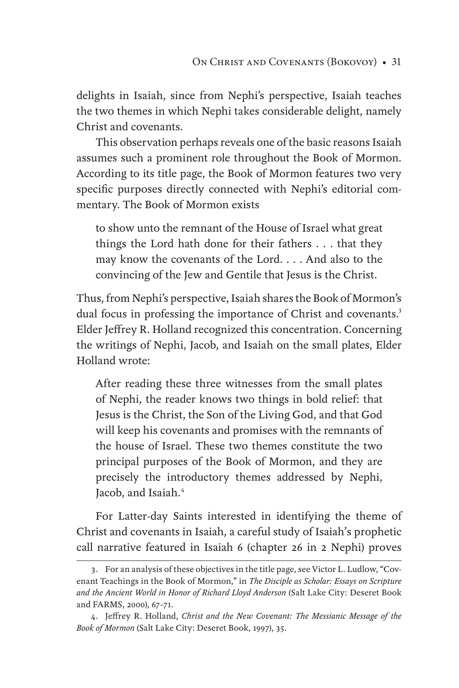delights in Isaiah, since from Nephi's perspective, Isaiah teaches the two themes in which Nephi takes considerable delight, namely Christ and covenants.

This observation perhaps reveals one of the basic reasons Isaiah assumes such a prominent role throughout the Book of Mormon. According to its title page, the Book of Mormon features two very specific purposes directly connected with Nephi's editorial commentary. The Book of Mormon exists

to show unto the remnant of the House of Israel what great things the Lord hath done for their fathers . . . that they may know the covenants of the Lord. . . . And also to the convincing of the Jew and Gentile that Jesus is the Christ.

Thus, from Nephi's perspective, Isaiah shares the Book of Mormon's dual focus in professing the importance of Christ and covenants.<sup>3</sup> Elder Jeffrey R. Holland recognized this concentration. Concerning the writings of Nephi, Jacob, and Isaiah on the small plates, Elder Holland wrote:

After reading these three witnesses from the small plates of Nephi, the reader knows two things in bold relief: that Jesus is the Christ, the Son of the Living God, and that God will keep his covenants and promises with the remnants of the house of Israel. These two themes constitute the two principal purposes of the Book of Mormon, and they are precisely the introductory themes addressed by Nephi, Jacob, and Isaiah.<sup>4</sup>

For Latter-day Saints interested in identifying the theme of Christ and covenants in Isaiah, a careful study of Isaiah's prophetic call narrative featured in Isaiah 6 (chapter 26 in 2 Nephi) proves

<sup>3.</sup> For an analysis of these objectives in the title page, see Victor L. Ludlow, "Covenant Teachings in the Book of Mormon," in *The Disciple as Scholar: Essays on Scripture and the Ancient World in Honor of Richard Lloyd Anderson* (Salt Lake City: Deseret Book and FARMS, 2000), 67–71.

<sup>4.</sup> Jeffrey R. Holland, *Christ and the New Covenant: The Messianic Message of the Book of Mormon* (Salt Lake City: Deseret Book, 1997), 35.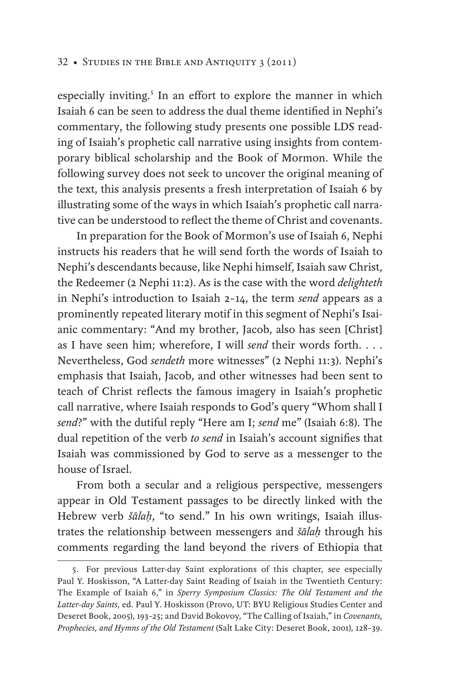especially inviting.<sup>5</sup> In an effort to explore the manner in which Isaiah 6 can be seen to address the dual theme identified in Nephi's commentary, the following study presents one possible LDS reading of Isaiah's prophetic call narrative using insights from contemporary biblical scholarship and the Book of Mormon. While the following survey does not seek to uncover the original meaning of the text, this analysis presents a fresh interpretation of Isaiah 6 by illustrating some of the ways in which Isaiah's prophetic call narrative can be understood to reflect the theme of Christ and covenants.

In preparation for the Book of Mormon's use of Isaiah 6, Nephi instructs his readers that he will send forth the words of Isaiah to Nephi's descendants because, like Nephi himself, Isaiah saw Christ, the Redeemer (2 Nephi 11:2). As is the case with the word *delighteth* in Nephi's introduction to Isaiah 2–14, the term *send* appears as a prominently repeated literary motif in this segment of Nephi's Isaianic commentary: "And my brother, Jacob, also has seen [Christ] as I have seen him; wherefore, I will *send* their words forth. . . . Nevertheless, God *sendeth* more witnesses" (2 Nephi 11:3). Nephi's emphasis that Isaiah, Jacob, and other witnesses had been sent to teach of Christ reflects the famous imagery in Isaiah's prophetic call narrative, where Isaiah responds to God's query "Whom shall I *send*?" with the dutiful reply "Here am I; *send* me" (Isaiah 6:8). The dual repetition of the verb *to send* in Isaiah's account signifies that Isaiah was commissioned by God to serve as a messenger to the house of Israel.

From both a secular and a religious perspective, messengers appear in Old Testament passages to be directly linked with the Hebrew verb *šālaḥ*, "to send." In his own writings, Isaiah illustrates the relationship between messengers and *šālaḥ* through his comments regarding the land beyond the rivers of Ethiopia that

<sup>5.</sup> For previous Latter-day Saint explorations of this chapter, see especially Paul Y. Hoskisson, "A Latter-day Saint Reading of Isaiah in the Twentieth Century: The Example of Isaiah 6," in *Sperry Symposium Classics: The Old Testament and the Latter-day Saints*, ed. Paul Y. Hoskisson (Provo, UT: BYU Religious Studies Center and Deseret Book, 2005), 193–25; and David Bokovoy, "The Calling of Isaiah," in *Covenants, Prophecies, and Hymns of the Old Testament* (Salt Lake City: Deseret Book, 2001), 128–39.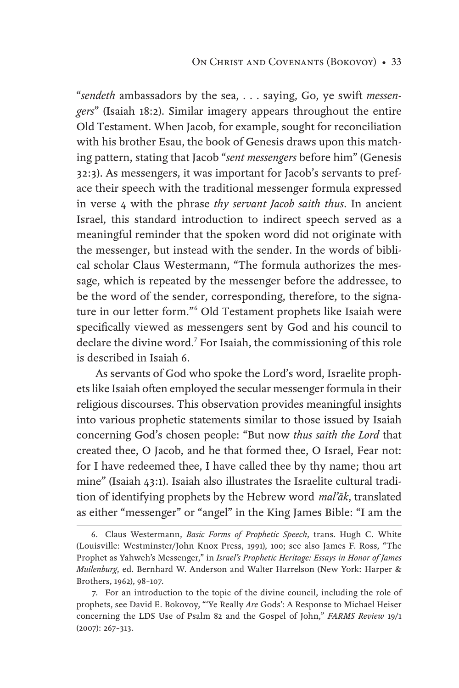"*sendeth* ambassadors by the sea, . . . saying, Go, ye swift *messengers*" (Isaiah 18:2). Similar imagery appears throughout the entire Old Testament. When Jacob, for example, sought for reconciliation with his brother Esau, the book of Genesis draws upon this matching pattern, stating that Jacob "*sent messengers* before him" (Genesis 32:3). As messengers, it was important for Jacob's servants to preface their speech with the traditional messenger formula expressed in verse 4 with the phrase *thy servant Jacob saith thus*. In ancient Israel, this standard introduction to indirect speech served as a meaningful reminder that the spoken word did not originate with the messenger, but instead with the sender. In the words of biblical scholar Claus Westermann, "The formula authorizes the message, which is repeated by the messenger before the addressee, to be the word of the sender, corresponding, therefore, to the signature in our letter form."<sup>6</sup> Old Testament prophets like Isaiah were specifically viewed as messengers sent by God and his council to declare the divine word.<sup>7</sup> For Isaiah, the commissioning of this role is described in Isaiah 6.

As servants of God who spoke the Lord's word, Israelite prophets like Isaiah often employed the secular messenger formula in their religious discourses. This observation provides meaningful insights into various prophetic statements similar to those issued by Isaiah concerning God's chosen people: "But now *thus saith the Lord* that created thee, O Jacob, and he that formed thee, O Israel, Fear not: for I have redeemed thee, I have called thee by thy name; thou art mine" (Isaiah 43:1). Isaiah also illustrates the Israelite cultural tradition of identifying prophets by the Hebrew word *mal'āk*, translated as either "messenger" or "angel" in the King James Bible: "I am the

<sup>6.</sup> Claus Westermann, *Basic Forms of Prophetic Speech*, trans. Hugh C. White (Louisville: Westminster/John Knox Press, 1991), 100; see also James F. Ross, "The Prophet as Yahweh's Messenger," in *Israel's Prophetic Heritage: Essays in Honor of James Muilenburg*, ed. Bernhard W. Anderson and Walter Harrelson (New York: Harper & Brothers, 1962), 98–107.

<sup>7.</sup> For an introduction to the topic of the divine council, including the role of prophets, see David E. Bokovoy, "'Ye Really *Are* Gods': A Response to Michael Heiser concerning the LDS Use of Psalm 82 and the Gospel of John," *FARMS Review* 19/1 (2007): 267–313.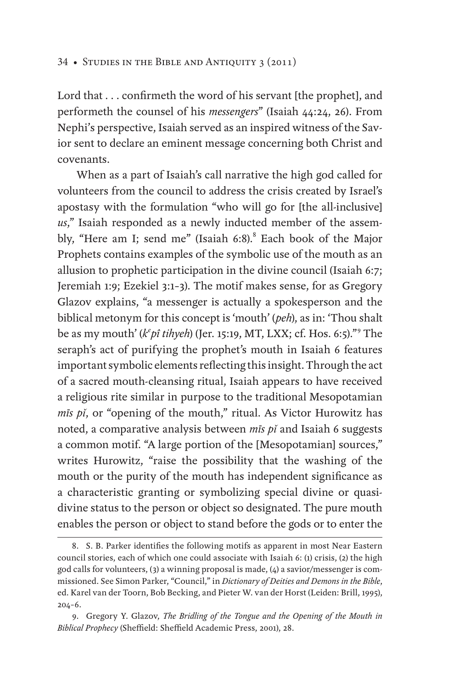Lord that . . . confirmeth the word of his servant [the prophet], and performeth the counsel of his *messengers*" (Isaiah 44:24, 26). From Nephi's perspective, Isaiah served as an inspired witness of the Savior sent to declare an eminent message concerning both Christ and covenants.

When as a part of Isaiah's call narrative the high god called for volunteers from the council to address the crisis created by Israel's apostasy with the formulation "who will go for [the all-inclusive] *us*," Isaiah responded as a newly inducted member of the assembly, "Here am I; send me" (Isaiah 6:8).<sup>8</sup> Each book of the Major Prophets contains examples of the symbolic use of the mouth as an allusion to prophetic participation in the divine council (Isaiah 6:7; Jeremiah 1:9; Ezekiel 3:1–3). The motif makes sense, for as Gregory Glazov explains, "a messenger is actually a spokesperson and the biblical metonym for this concept is 'mouth' (*peh*), as in: 'Thou shalt be as my mouth' (*k<sup>e</sup> pî tihyeh*) (Jer. 15:19, MT, LXX; cf. Hos. 6:5)."<sup>9</sup> The seraph's act of purifying the prophet's mouth in Isaiah 6 features important symbolic elements reflecting this insight. Through the act of a sacred mouth-cleansing ritual, Isaiah appears to have received a religious rite similar in purpose to the traditional Mesopotamian *mīs pǐ*, or "opening of the mouth," ritual. As Victor Hurowitz has noted, a comparative analysis between *mīs pǐ* and Isaiah 6 suggests a common motif. "A large portion of the [Mesopotamian] sources," writes Hurowitz, "raise the possibility that the washing of the mouth or the purity of the mouth has independent significance as a characteristic granting or symbolizing special divine or quasidivine status to the person or object so designated. The pure mouth enables the person or object to stand before the gods or to enter the

<sup>8.</sup> S. B. Parker identifies the following motifs as apparent in most Near Eastern council stories, each of which one could associate with Isaiah 6: (1) crisis, (2) the high god calls for volunteers, (3) a winning proposal is made, (4) a savior/messenger is commissioned. See Simon Parker, "Council," in *Dictionary of Deities and Demons in the Bible*, ed. Karel van der Toorn, Bob Becking, and Pieter W. van der Horst (Leiden: Brill, 1995), 204–6.

<sup>9.</sup> Gregory Y. Glazov, *The Bridling of the Tongue and the Opening of the Mouth in Biblical Prophecy* (Sheffield: Sheffield Academic Press, 2001), 28.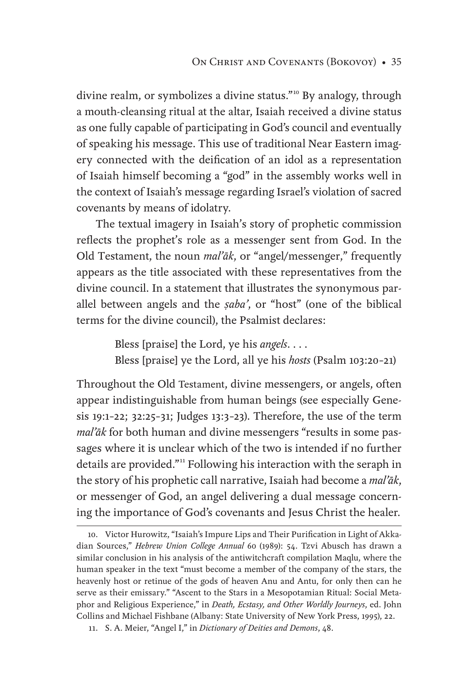divine realm, or symbolizes a divine status."<sup>10</sup> By analogy, through a mouth-cleansing ritual at the altar, Isaiah received a divine status as one fully capable of participating in God's council and eventually of speaking his message. This use of traditional Near Eastern imagery connected with the deification of an idol as a representation of Isaiah himself becoming a "god" in the assembly works well in the context of Isaiah's message regarding Israel's violation of sacred covenants by means of idolatry.

The textual imagery in Isaiah's story of prophetic commission reflects the prophet's role as a messenger sent from God. In the Old Testament, the noun *mal'āk*, or "angel/messenger," frequently appears as the title associated with these representatives from the divine council. In a statement that illustrates the synonymous parallel between angels and the *Ṣaba'*, or "host" (one of the biblical terms for the divine council), the Psalmist declares:

> Bless [praise] the Lord, ye his *angels*. . . . Bless [praise] ye the Lord, all ye his *hosts* (Psalm 103:20–21)

Throughout the Old Testament, divine messengers, or angels, often appear indistinguishable from human beings (see especially Genesis 19:1–22; 32:25–31; Judges 13:3–23). Therefore, the use of the term *mal'āk* for both human and divine messengers "results in some passages where it is unclear which of the two is intended if no further details are provided."11 Following his interaction with the seraph in the story of his prophetic call narrative, Isaiah had become a *mal'āk*, or messenger of God, an angel delivering a dual message concerning the importance of God's covenants and Jesus Christ the healer.

<sup>10.</sup> Victor Hurowitz, "Isaiah's Impure Lips and Their Purification in Light of Akkadian Sources," *Hebrew Union College Annual* 60 (1989): 54. Tzvi Abusch has drawn a similar conclusion in his analysis of the antiwitchcraft compilation Maqlu, where the human speaker in the text "must become a member of the company of the stars, the heavenly host or retinue of the gods of heaven Anu and Antu, for only then can he serve as their emissary." "Ascent to the Stars in a Mesopotamian Ritual: Social Metaphor and Religious Experience," in *Death, Ecstasy, and Other Worldly Journeys*, ed. John Collins and Michael Fishbane (Albany: State University of New York Press, 1995), 22.

<sup>11.</sup> S. A. Meier, "Angel I," in *Dictionary of Deities and Demons*, 48.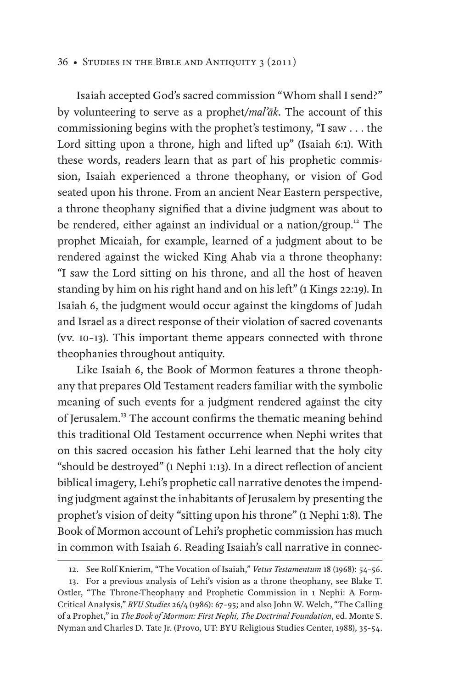Isaiah accepted God's sacred commission "Whom shall I send?" by volunteering to serve as a prophet/*mal'āk*. The account of this commissioning begins with the prophet's testimony, "I saw . . . the Lord sitting upon a throne, high and lifted up" (Isaiah 6:1). With these words, readers learn that as part of his prophetic commission, Isaiah experienced a throne theophany, or vision of God seated upon his throne. From an ancient Near Eastern perspective, a throne theophany signified that a divine judgment was about to be rendered, either against an individual or a nation/group.<sup>12</sup> The prophet Micaiah, for example, learned of a judgment about to be rendered against the wicked King Ahab via a throne theophany: "I saw the Lord sitting on his throne, and all the host of heaven standing by him on his right hand and on his left" (1 Kings 22:19). In Isaiah 6, the judgment would occur against the kingdoms of Judah and Israel as a direct response of their violation of sacred covenants (vv. 10–13). This important theme appears connected with throne theophanies throughout antiquity.

Like Isaiah 6, the Book of Mormon features a throne theophany that prepares Old Testament readers familiar with the symbolic meaning of such events for a judgment rendered against the city of Jerusalem.<sup>13</sup> The account confirms the thematic meaning behind this traditional Old Testament occurrence when Nephi writes that on this sacred occasion his father Lehi learned that the holy city "should be destroyed" (1 Nephi 1:13). In a direct reflection of ancient biblical imagery, Lehi's prophetic call narrative denotes the impending judgment against the inhabitants of Jerusalem by presenting the prophet's vision of deity "sitting upon his throne" (1 Nephi 1:8). The Book of Mormon account of Lehi's prophetic commission has much in common with Isaiah 6. Reading Isaiah's call narrative in connec-

<sup>12.</sup> See Rolf Knierim, "The Vocation of Isaiah," *Vetus Testamentum* 18 (1968): 54–56.

<sup>13.</sup> For a previous analysis of Lehi's vision as a throne theophany, see Blake T. Ostler, "The Throne-Theophany and Prophetic Commission in 1 Nephi: A Form-Critical Analysis," *BYU Studies* 26/4 (1986): 67–95; and also John W. Welch, "The Calling of a Prophet," in *The Book of Mormon: First Nephi, The Doctrinal Foundation*, ed. Monte S. Nyman and Charles D. Tate Jr. (Provo, UT: BYU Religious Studies Center, 1988), 35–54.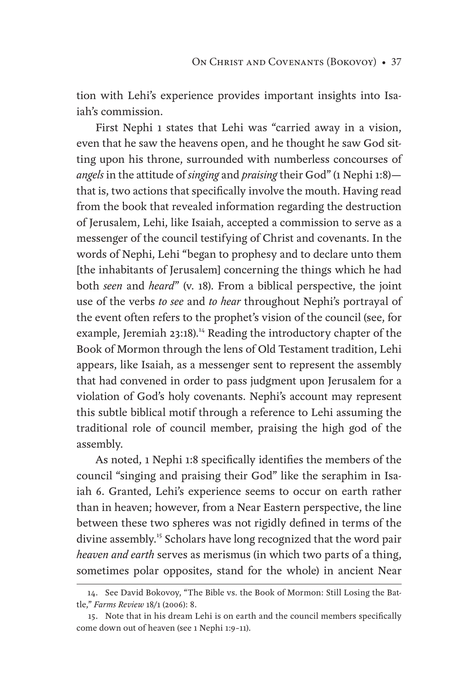tion with Lehi's experience provides important insights into Isaiah's commission.

First Nephi 1 states that Lehi was "carried away in a vision, even that he saw the heavens open, and he thought he saw God sitting upon his throne, surrounded with numberless concourses of *angels* in the attitude of *singing* and *praising* their God" (1 Nephi 1:8) that is, two actions that specifically involve the mouth. Having read from the book that revealed information regarding the destruction of Jerusalem, Lehi, like Isaiah, accepted a commission to serve as a messenger of the council testifying of Christ and covenants. In the words of Nephi, Lehi "began to prophesy and to declare unto them [the inhabitants of Jerusalem] concerning the things which he had both *seen* and *heard*" (v. 18). From a biblical perspective, the joint use of the verbs *to see* and *to hear* throughout Nephi's portrayal of the event often refers to the prophet's vision of the council (see, for example, Jeremiah 23:18).<sup>14</sup> Reading the introductory chapter of the Book of Mormon through the lens of Old Testament tradition, Lehi appears, like Isaiah, as a messenger sent to represent the assembly that had convened in order to pass judgment upon Jerusalem for a violation of God's holy covenants. Nephi's account may represent this subtle biblical motif through a reference to Lehi assuming the traditional role of council member, praising the high god of the assembly.

As noted, 1 Nephi 1:8 specifically identifies the members of the council "singing and praising their God" like the seraphim in Isaiah 6. Granted, Lehi's experience seems to occur on earth rather than in heaven; however, from a Near Eastern perspective, the line between these two spheres was not rigidly defined in terms of the divine assembly.<sup>15</sup> Scholars have long recognized that the word pair *heaven and earth* serves as merismus (in which two parts of a thing, sometimes polar opposites, stand for the whole) in ancient Near

<sup>14.</sup> See David Bokovoy, "The Bible vs. the Book of Mormon: Still Losing the Battle," *Farms Review* 18/1 (2006): 8.

<sup>15.</sup> Note that in his dream Lehi is on earth and the council members specifically come down out of heaven (see 1 Nephi 1:9–11).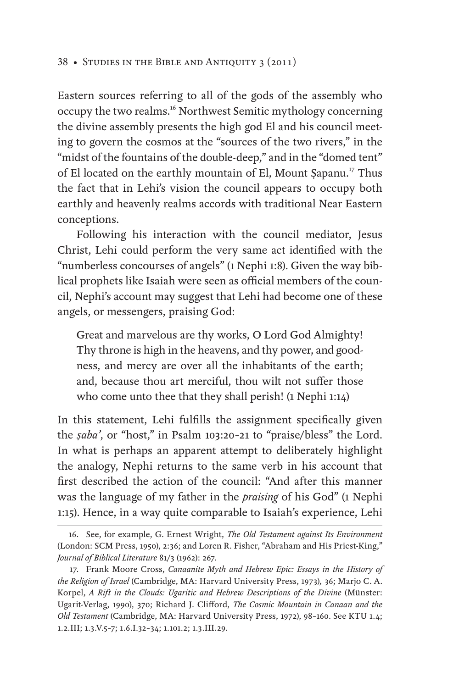Eastern sources referring to all of the gods of the assembly who occupy the two realms.16 Northwest Semitic mythology concerning the divine assembly presents the high god El and his council meeting to govern the cosmos at the "sources of the two rivers," in the "midst of the fountains of the double-deep," and in the "domed tent" of El located on the earthly mountain of El, Mount Sapanu.<sup>17</sup> Thus the fact that in Lehi's vision the council appears to occupy both earthly and heavenly realms accords with traditional Near Eastern conceptions.

Following his interaction with the council mediator, Jesus Christ, Lehi could perform the very same act identified with the "numberless concourses of angels" (1 Nephi 1:8). Given the way biblical prophets like Isaiah were seen as official members of the council, Nephi's account may suggest that Lehi had become one of these angels, or messengers, praising God:

Great and marvelous are thy works, O Lord God Almighty! Thy throne is high in the heavens, and thy power, and goodness, and mercy are over all the inhabitants of the earth; and, because thou art merciful, thou wilt not suffer those who come unto thee that they shall perish! (1 Nephi 1:14)

In this statement, Lehi fulfills the assignment specifically given the *Ṣaba'*, or "host," in Psalm 103:20–21 to "praise/bless" the Lord. In what is perhaps an apparent attempt to deliberately highlight the analogy, Nephi returns to the same verb in his account that first described the action of the council: "And after this manner was the language of my father in the *praising* of his God" (1 Nephi 1:15). Hence, in a way quite comparable to Isaiah's experience, Lehi

<sup>16.</sup> See, for example, G. Ernest Wright, *The Old Testament against Its Environment* (London: SCM Press, 1950), 2:36; and Loren R. Fisher, "Abraham and His Priest-King," *Journal of Biblical Literature* 81/3 (1962): 267.

<sup>17.</sup> Frank Moore Cross, *Canaanite Myth and Hebrew Epic: Essays in the History of the Religion of Israel* (Cambridge, MA: Harvard University Press, 1973)*,* 36; Marjo C. A. Korpel, *A Rift in the Clouds: Ugaritic and Hebrew Descriptions of the Divine* (Münster: Ugarit-Verlag, 1990), 370; Richard J. Clifford, *The Cosmic Mountain in Canaan and the Old Testament* (Cambridge, MA: Harvard University Press, 1972), 98–160. See KTU 1.4; 1.2.III; 1.3.V.5–7; 1.6.I.32–34; 1.101.2; 1.3.III.29.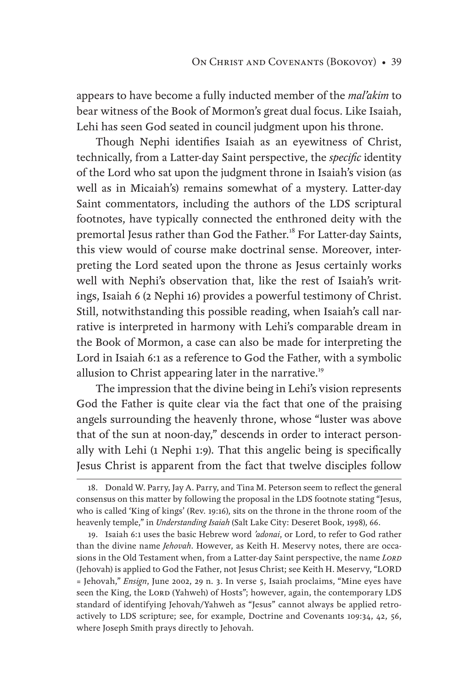appears to have become a fully inducted member of the *mal'akim* to bear witness of the Book of Mormon's great dual focus. Like Isaiah, Lehi has seen God seated in council judgment upon his throne.

Though Nephi identifies Isaiah as an eyewitness of Christ, technically, from a Latter-day Saint perspective, the *specific* identity of the Lord who sat upon the judgment throne in Isaiah's vision (as well as in Micaiah's) remains somewhat of a mystery. Latter-day Saint commentators, including the authors of the LDS scriptural footnotes, have typically connected the enthroned deity with the premortal Jesus rather than God the Father.<sup>18</sup> For Latter-day Saints, this view would of course make doctrinal sense. Moreover, interpreting the Lord seated upon the throne as Jesus certainly works well with Nephi's observation that, like the rest of Isaiah's writings, Isaiah 6 (2 Nephi 16) provides a powerful testimony of Christ. Still, notwithstanding this possible reading, when Isaiah's call narrative is interpreted in harmony with Lehi's comparable dream in the Book of Mormon, a case can also be made for interpreting the Lord in Isaiah 6:1 as a reference to God the Father, with a symbolic allusion to Christ appearing later in the narrative.<sup>19</sup>

The impression that the divine being in Lehi's vision represents God the Father is quite clear via the fact that one of the praising angels surrounding the heavenly throne, whose "luster was above that of the sun at noon-day," descends in order to interact personally with Lehi (1 Nephi 1:9). That this angelic being is specifically Jesus Christ is apparent from the fact that twelve disciples follow

19. Isaiah 6:1 uses the basic Hebrew word *'adonai*, or Lord, to refer to God rather than the divine name *Jehovah*. However, as Keith H. Meservy notes, there are occasions in the Old Testament when, from a Latter-day Saint perspective, the name *Lord* (Jehovah) is applied to God the Father, not Jesus Christ; see Keith H. Meservy, "LORD = Jehovah," *Ensign*, June 2002, 29 n. 3. In verse 5, Isaiah proclaims, "Mine eyes have seen the King, the LORD (Yahweh) of Hosts"; however, again, the contemporary LDS standard of identifying Jehovah/Yahweh as "Jesus" cannot always be applied retroactively to LDS scripture; see, for example, Doctrine and Covenants 109:34, 42, 56, where Joseph Smith prays directly to Jehovah.

<sup>18.</sup> Donald W. Parry, Jay A. Parry, and Tina M. Peterson seem to reflect the general consensus on this matter by following the proposal in the LDS footnote stating "Jesus, who is called 'King of kings' (Rev. 19:16), sits on the throne in the throne room of the heavenly temple," in *Understanding Isaiah* (Salt Lake City: Deseret Book, 1998), 66.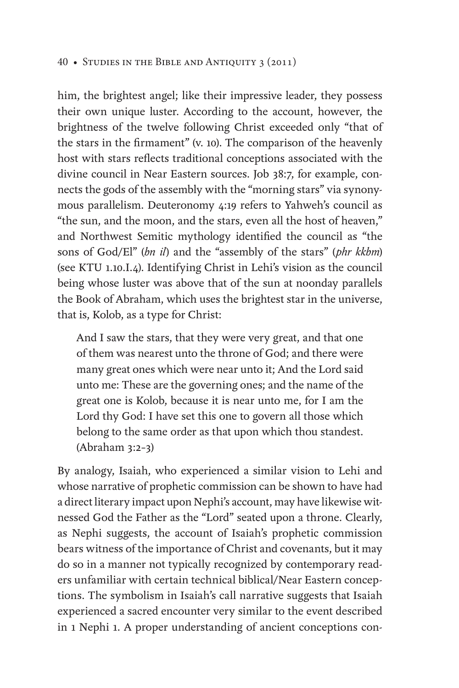him, the brightest angel; like their impressive leader, they possess their own unique luster. According to the account, however, the brightness of the twelve following Christ exceeded only "that of the stars in the firmament" (v. 10). The comparison of the heavenly host with stars reflects traditional conceptions associated with the divine council in Near Eastern sources. Job 38:7, for example, connects the gods of the assembly with the "morning stars" via synonymous parallelism. Deuteronomy 4:19 refers to Yahweh's council as "the sun, and the moon, and the stars, even all the host of heaven," and Northwest Semitic mythology identified the council as "the sons of God/El" (*bn il*) and the "assembly of the stars" (*phr kkbm*) (see KTU 1.10.I.4). Identifying Christ in Lehi's vision as the council being whose luster was above that of the sun at noonday parallels the Book of Abraham, which uses the brightest star in the universe, that is, Kolob, as a type for Christ:

And I saw the stars, that they were very great, and that one of them was nearest unto the throne of God; and there were many great ones which were near unto it; And the Lord said unto me: These are the governing ones; and the name of the great one is Kolob, because it is near unto me, for I am the Lord thy God: I have set this one to govern all those which belong to the same order as that upon which thou standest. (Abraham 3:2–3)

By analogy, Isaiah, who experienced a similar vision to Lehi and whose narrative of prophetic commission can be shown to have had a direct literary impact upon Nephi's account, may have likewise witnessed God the Father as the "Lord" seated upon a throne. Clearly, as Nephi suggests, the account of Isaiah's prophetic commission bears witness of the importance of Christ and covenants, but it may do so in a manner not typically recognized by contemporary readers unfamiliar with certain technical biblical/Near Eastern conceptions. The symbolism in Isaiah's call narrative suggests that Isaiah experienced a sacred encounter very similar to the event described in 1 Nephi 1. A proper understanding of ancient conceptions con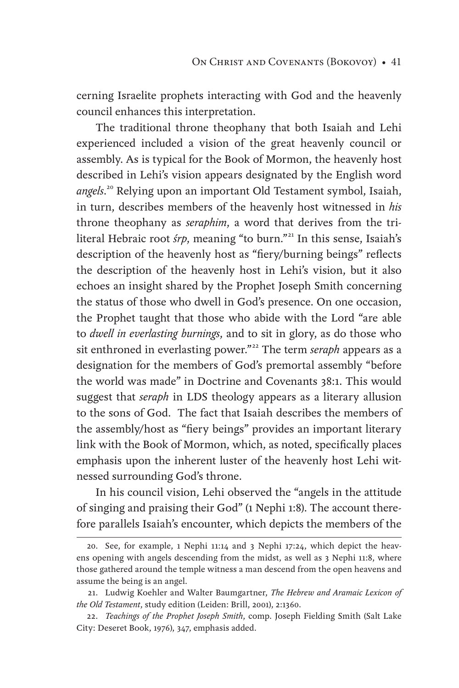cerning Israelite prophets interacting with God and the heavenly council enhances this interpretation.

The traditional throne theophany that both Isaiah and Lehi experienced included a vision of the great heavenly council or assembly. As is typical for the Book of Mormon, the heavenly host described in Lehi's vision appears designated by the English word *angels*. 20 Relying upon an important Old Testament symbol, Isaiah, in turn, describes members of the heavenly host witnessed in *his* throne theophany as *seraphim*, a word that derives from the triliteral Hebraic root *śrp*, meaning "to burn."<sup>21</sup> In this sense, Isaiah's description of the heavenly host as "fiery/burning beings" reflects the description of the heavenly host in Lehi's vision, but it also echoes an insight shared by the Prophet Joseph Smith concerning the status of those who dwell in God's presence. On one occasion, the Prophet taught that those who abide with the Lord "are able to *dwell in everlasting burnings*, and to sit in glory, as do those who sit enthroned in everlasting power."<sup>22</sup> The term *seraph* appears as a designation for the members of God's premortal assembly "before the world was made" in Doctrine and Covenants 38:1. This would suggest that *seraph* in LDS theology appears as a literary allusion to the sons of God. The fact that Isaiah describes the members of the assembly/host as "fiery beings" provides an important literary link with the Book of Mormon, which, as noted, specifically places emphasis upon the inherent luster of the heavenly host Lehi witnessed surrounding God's throne.

In his council vision, Lehi observed the "angels in the attitude of singing and praising their God" (1 Nephi 1:8). The account therefore parallels Isaiah's encounter, which depicts the members of the

<sup>20.</sup> See, for example, 1 Nephi 11:14 and 3 Nephi 17:24, which depict the heavens opening with angels descending from the midst, as well as 3 Nephi 11:8, where those gathered around the temple witness a man descend from the open heavens and assume the being is an angel.

<sup>21.</sup> Ludwig Koehler and Walter Baumgartner, *The Hebrew and Aramaic Lexicon of the Old Testament*, study edition (Leiden: Brill, 2001), 2:1360.

<sup>22.</sup> *Teachings of the Prophet Joseph Smith*, comp. Joseph Fielding Smith (Salt Lake City: Deseret Book, 1976), 347, emphasis added.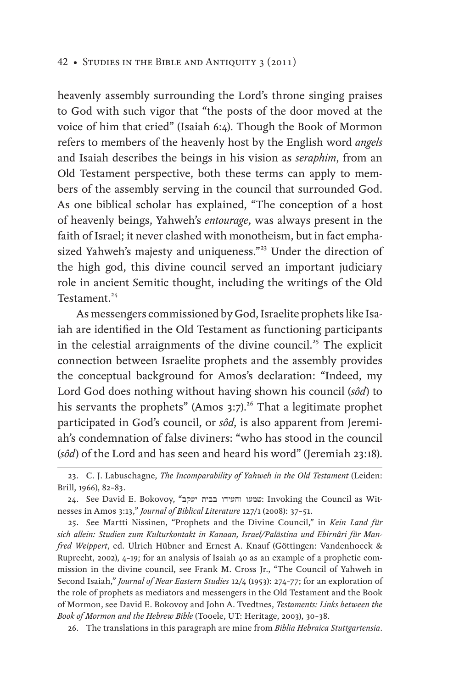heavenly assembly surrounding the Lord's throne singing praises to God with such vigor that "the posts of the door moved at the voice of him that cried" (Isaiah 6:4). Though the Book of Mormon refers to members of the heavenly host by the English word *angels* and Isaiah describes the beings in his vision as *seraphim*, from an Old Testament perspective, both these terms can apply to members of the assembly serving in the council that surrounded God. As one biblical scholar has explained, "The conception of a host of heavenly beings, Yahweh's *entourage*, was always present in the faith of Israel; it never clashed with monotheism, but in fact emphasized Yahweh's majesty and uniqueness."<sup>23</sup> Under the direction of the high god, this divine council served an important judiciary role in ancient Semitic thought, including the writings of the Old Testament.<sup>24</sup>

As messengers commissioned by God, Israelite prophets like Isaiah are identified in the Old Testament as functioning participants in the celestial arraignments of the divine council.<sup>25</sup> The explicit connection between Israelite prophets and the assembly provides the conceptual background for Amos's declaration: "Indeed, my Lord God does nothing without having shown his council (*sôd*) to his servants the prophets" (Amos  $3:7$ ).<sup>26</sup> That a legitimate prophet participated in God's council, or *sôd*, is also apparent from Jeremiah's condemnation of false diviners: "who has stood in the council (*sôd*) of the Lord and has seen and heard his word" (Jeremiah 23:18).

26. The translations in this paragraph are mine from *Biblia Hebraica Stuttgartensia*.

<sup>23.</sup> C. J. Labuschagne, *The Incomparability of Yahweh in the Old Testament* (Leiden: Brill, 1966), 82–83.

<sup>24.</sup> See David E. Bokovoy, "יעקב בבית והעידו שמעו: Invoking the Council as Witnesses in Amos 3:13," *Journal of Biblical Literature* 127/1 (2008): 37–51.

<sup>25.</sup> See Martti Nissinen, "Prophets and the Divine Council," in *Kein Land für sich allein: Studien zum Kulturkontakt in Kanaan, Israel/Palästina und Ebirnâri für Manfred Weippert*, ed. Ulrich Hübner and Ernest A. Knauf (Göttingen: Vandenhoeck & Ruprecht, 2002), 4–19; for an analysis of Isaiah 40 as an example of a prophetic commission in the divine council, see Frank M. Cross Jr., "The Council of Yahweh in Second Isaiah," *Journal of Near Eastern Studies* 12/4 (1953): 274–77; for an exploration of the role of prophets as mediators and messengers in the Old Testament and the Book of Mormon, see David E. Bokovoy and John A. Tvedtnes, *Testaments: Links between the Book of Mormon and the Hebrew Bible* (Tooele, UT: Heritage, 2003), 30–38.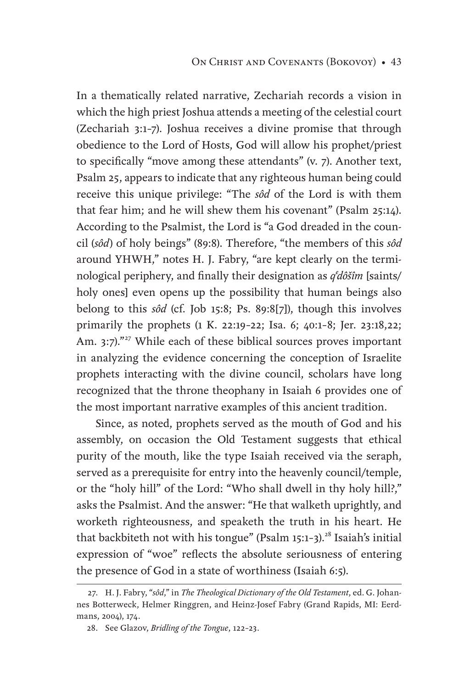In a thematically related narrative, Zechariah records a vision in which the high priest Joshua attends a meeting of the celestial court (Zechariah 3:1–7). Joshua receives a divine promise that through obedience to the Lord of Hosts, God will allow his prophet/priest to specifically "move among these attendants" (v. 7). Another text, Psalm 25, appears to indicate that any righteous human being could receive this unique privilege: "The *sôd* of the Lord is with them that fear him; and he will shew them his covenant" (Psalm 25:14). According to the Psalmist, the Lord is "a God dreaded in the council (*sôd*) of holy beings" (89:8). Therefore, "the members of this *sôd*  around YHWH," notes H. J. Fabry, "are kept clearly on the terminological periphery, and finally their designation as *q dôšîm* [saints/ holy ones] even opens up the possibility that human beings also belong to this *sôd* (cf. Job 15:8; Ps. 89:8[7]), though this involves primarily the prophets (1 K. 22:19–22; Isa. 6; 40:1–8; Jer. 23:18,22; Am. 3:7)."<sup>27</sup> While each of these biblical sources proves important in analyzing the evidence concerning the conception of Israelite prophets interacting with the divine council, scholars have long recognized that the throne theophany in Isaiah 6 provides one of the most important narrative examples of this ancient tradition.

Since, as noted, prophets served as the mouth of God and his assembly, on occasion the Old Testament suggests that ethical purity of the mouth, like the type Isaiah received via the seraph, served as a prerequisite for entry into the heavenly council/temple, or the "holy hill" of the Lord: "Who shall dwell in thy holy hill?," asks the Psalmist. And the answer: "He that walketh uprightly, and worketh righteousness, and speaketh the truth in his heart. He that backbiteth not with his tongue" (Psalm 15:1-3).<sup>28</sup> Isaiah's initial expression of "woe" reflects the absolute seriousness of entering the presence of God in a state of worthiness (Isaiah 6:5).

<sup>27.</sup> H. J. Fabry, "*sôd*," in *The Theological Dictionary of the Old Testament*, ed. G. Johannes Botterweck, Helmer Ringgren, and Heinz-Josef Fabry (Grand Rapids, MI: Eerdmans, 2004), 174.

<sup>28.</sup> See Glazov, *Bridling of the Tongue*, 122–23.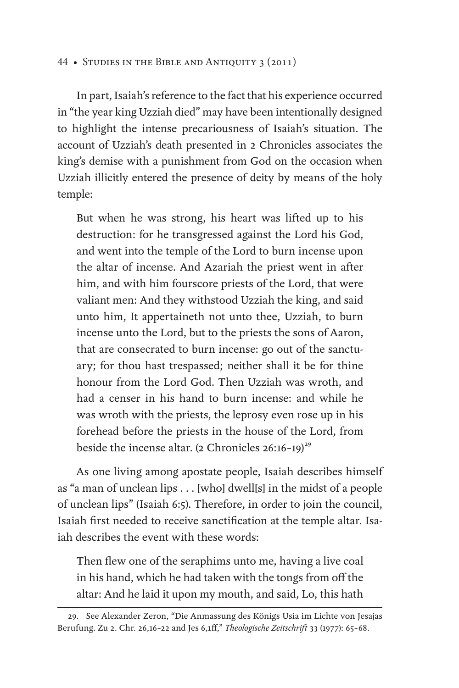In part, Isaiah's reference to the fact that his experience occurred in "the year king Uzziah died" may have been intentionally designed to highlight the intense precariousness of Isaiah's situation. The account of Uzziah's death presented in 2 Chronicles associates the king's demise with a punishment from God on the occasion when Uzziah illicitly entered the presence of deity by means of the holy temple:

But when he was strong, his heart was lifted up to his destruction: for he transgressed against the Lord his God, and went into the temple of the Lord to burn incense upon the altar of incense. And Azariah the priest went in after him, and with him fourscore priests of the Lord, that were valiant men: And they withstood Uzziah the king, and said unto him, It appertaineth not unto thee, Uzziah, to burn incense unto the Lord, but to the priests the sons of Aaron, that are consecrated to burn incense: go out of the sanctuary; for thou hast trespassed; neither shall it be for thine honour from the Lord God. Then Uzziah was wroth, and had a censer in his hand to burn incense: and while he was wroth with the priests, the leprosy even rose up in his forehead before the priests in the house of the Lord, from beside the incense altar. (2 Chronicles  $26:16-19)^{29}$ 

As one living among apostate people, Isaiah describes himself as "a man of unclean lips . . . [who] dwell[s] in the midst of a people of unclean lips" (Isaiah 6:5). Therefore, in order to join the council, Isaiah first needed to receive sanctification at the temple altar. Isaiah describes the event with these words:

Then flew one of the seraphims unto me, having a live coal in his hand, which he had taken with the tongs from off the altar: And he laid it upon my mouth, and said, Lo, this hath

<sup>29.</sup> See Alexander Zeron, "Die Anmassung des Königs Usia im Lichte von Jesajas Berufung. Zu 2. Chr. 26,16–22 and Jes 6,1ff," *Theologische Zeitschrift* 33 (1977): 65–68.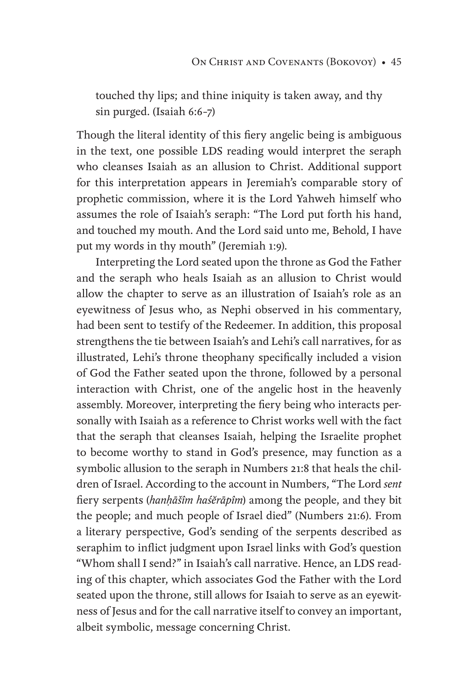touched thy lips; and thine iniquity is taken away, and thy sin purged. (Isaiah 6:6–7)

Though the literal identity of this fiery angelic being is ambiguous in the text, one possible LDS reading would interpret the seraph who cleanses Isaiah as an allusion to Christ. Additional support for this interpretation appears in Jeremiah's comparable story of prophetic commission, where it is the Lord Yahweh himself who assumes the role of Isaiah's seraph: "The Lord put forth his hand, and touched my mouth. And the Lord said unto me, Behold, I have put my words in thy mouth" (Jeremiah 1:9).

Interpreting the Lord seated upon the throne as God the Father and the seraph who heals Isaiah as an allusion to Christ would allow the chapter to serve as an illustration of Isaiah's role as an eyewitness of Jesus who, as Nephi observed in his commentary, had been sent to testify of the Redeemer. In addition, this proposal strengthens the tie between Isaiah's and Lehi's call narratives, for as illustrated, Lehi's throne theophany specifically included a vision of God the Father seated upon the throne, followed by a personal interaction with Christ, one of the angelic host in the heavenly assembly. Moreover, interpreting the fiery being who interacts personally with Isaiah as a reference to Christ works well with the fact that the seraph that cleanses Isaiah, helping the Israelite prophet to become worthy to stand in God's presence, may function as a symbolic allusion to the seraph in Numbers 21:8 that heals the children of Israel. According to the account in Numbers, "The Lord *sent* fiery serpents (*hanḥāšîm haśĕrāpîm*) among the people, and they bit the people; and much people of Israel died" (Numbers 21:6). From a literary perspective, God's sending of the serpents described as seraphim to inflict judgment upon Israel links with God's question "Whom shall I send?" in Isaiah's call narrative. Hence, an LDS reading of this chapter, which associates God the Father with the Lord seated upon the throne, still allows for Isaiah to serve as an eyewitness of Jesus and for the call narrative itself to convey an important, albeit symbolic, message concerning Christ.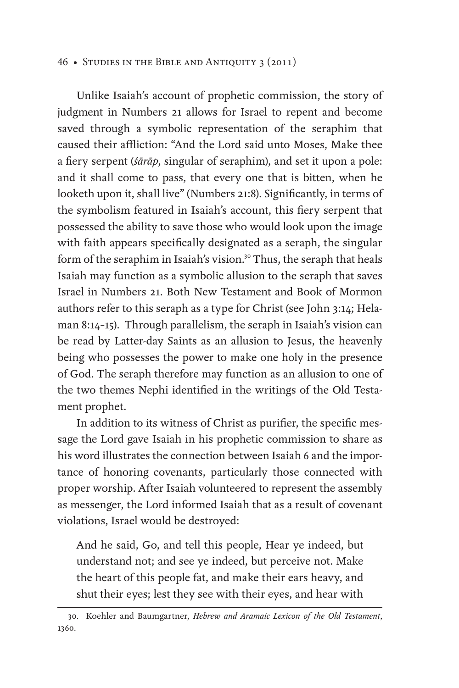Unlike Isaiah's account of prophetic commission, the story of judgment in Numbers 21 allows for Israel to repent and become saved through a symbolic representation of the seraphim that caused their affliction: "And the Lord said unto Moses, Make thee a fiery serpent (*śārāp*, singular of seraphim), and set it upon a pole: and it shall come to pass, that every one that is bitten, when he looketh upon it, shall live" (Numbers 21:8). Significantly, in terms of the symbolism featured in Isaiah's account, this fiery serpent that possessed the ability to save those who would look upon the image with faith appears specifically designated as a seraph, the singular form of the seraphim in Isaiah's vision.<sup>30</sup> Thus, the seraph that heals Isaiah may function as a symbolic allusion to the seraph that saves Israel in Numbers 21. Both New Testament and Book of Mormon authors refer to this seraph as a type for Christ (see John 3:14; Helaman 8:14–15). Through parallelism, the seraph in Isaiah's vision can be read by Latter-day Saints as an allusion to Jesus, the heavenly being who possesses the power to make one holy in the presence of God. The seraph therefore may function as an allusion to one of the two themes Nephi identified in the writings of the Old Testament prophet.

In addition to its witness of Christ as purifier, the specific message the Lord gave Isaiah in his prophetic commission to share as his word illustrates the connection between Isaiah 6 and the importance of honoring covenants, particularly those connected with proper worship. After Isaiah volunteered to represent the assembly as messenger, the Lord informed Isaiah that as a result of covenant violations, Israel would be destroyed:

And he said, Go, and tell this people, Hear ye indeed, but understand not; and see ye indeed, but perceive not. Make the heart of this people fat, and make their ears heavy, and shut their eyes; lest they see with their eyes, and hear with

<sup>30.</sup> Koehler and Baumgartner, *Hebrew and Aramaic Lexicon of the Old Testament*, 1360.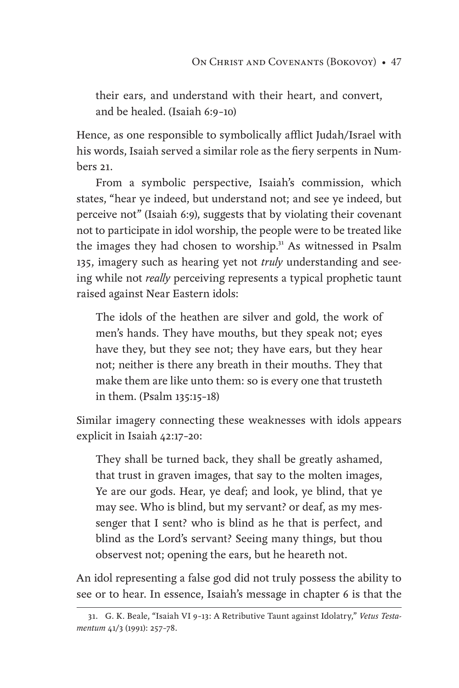their ears, and understand with their heart, and convert, and be healed. (Isaiah 6:9–10)

Hence, as one responsible to symbolically afflict Judah/Israel with his words, Isaiah served a similar role as the fiery serpents in Numbers 21.

From a symbolic perspective, Isaiah's commission, which states, "hear ye indeed, but understand not; and see ye indeed, but perceive not" (Isaiah 6:9), suggests that by violating their covenant not to participate in idol worship, the people were to be treated like the images they had chosen to worship.<sup>31</sup> As witnessed in Psalm 135, imagery such as hearing yet not *truly* understanding and seeing while not *really* perceiving represents a typical prophetic taunt raised against Near Eastern idols:

The idols of the heathen are silver and gold, the work of men's hands. They have mouths, but they speak not; eyes have they, but they see not; they have ears, but they hear not; neither is there any breath in their mouths. They that make them are like unto them: so is every one that trusteth in them. (Psalm 135:15–18)

Similar imagery connecting these weaknesses with idols appears explicit in Isaiah 42:17–20:

They shall be turned back, they shall be greatly ashamed, that trust in graven images, that say to the molten images, Ye are our gods. Hear, ye deaf; and look, ye blind, that ye may see. Who is blind, but my servant? or deaf, as my messenger that I sent? who is blind as he that is perfect, and blind as the Lord's servant? Seeing many things, but thou observest not; opening the ears, but he heareth not.

An idol representing a false god did not truly possess the ability to see or to hear. In essence, Isaiah's message in chapter 6 is that the

<sup>31.</sup> G. K. Beale, "Isaiah VI 9–13: A Retributive Taunt against Idolatry," *Vetus Testamentum* 41/3 (1991): 257–78.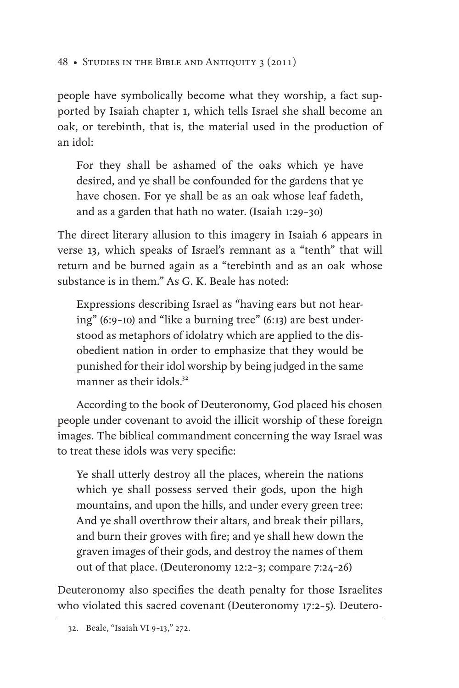people have symbolically become what they worship, a fact supported by Isaiah chapter 1, which tells Israel she shall become an oak, or terebinth, that is, the material used in the production of an idol:

For they shall be ashamed of the oaks which ye have desired, and ye shall be confounded for the gardens that ye have chosen. For ye shall be as an oak whose leaf fadeth, and as a garden that hath no water. (Isaiah 1:29–30)

The direct literary allusion to this imagery in Isaiah 6 appears in verse 13, which speaks of Israel's remnant as a "tenth" that will return and be burned again as a "terebinth and as an oak whose substance is in them." As G. K. Beale has noted:

Expressions describing Israel as "having ears but not hearing" (6:9–10) and "like a burning tree" (6:13) are best understood as metaphors of idolatry which are applied to the disobedient nation in order to emphasize that they would be punished for their idol worship by being judged in the same manner as their idols. $32$ 

According to the book of Deuteronomy, God placed his chosen people under covenant to avoid the illicit worship of these foreign images. The biblical commandment concerning the way Israel was to treat these idols was very specific:

Ye shall utterly destroy all the places, wherein the nations which ye shall possess served their gods, upon the high mountains, and upon the hills, and under every green tree: And ye shall overthrow their altars, and break their pillars, and burn their groves with fire; and ye shall hew down the graven images of their gods, and destroy the names of them out of that place. (Deuteronomy 12:2–3; compare 7:24–26)

Deuteronomy also specifies the death penalty for those Israelites who violated this sacred covenant (Deuteronomy 17:2–5). Deutero-

<sup>32.</sup> Beale, "Isaiah VI 9–13," 272.